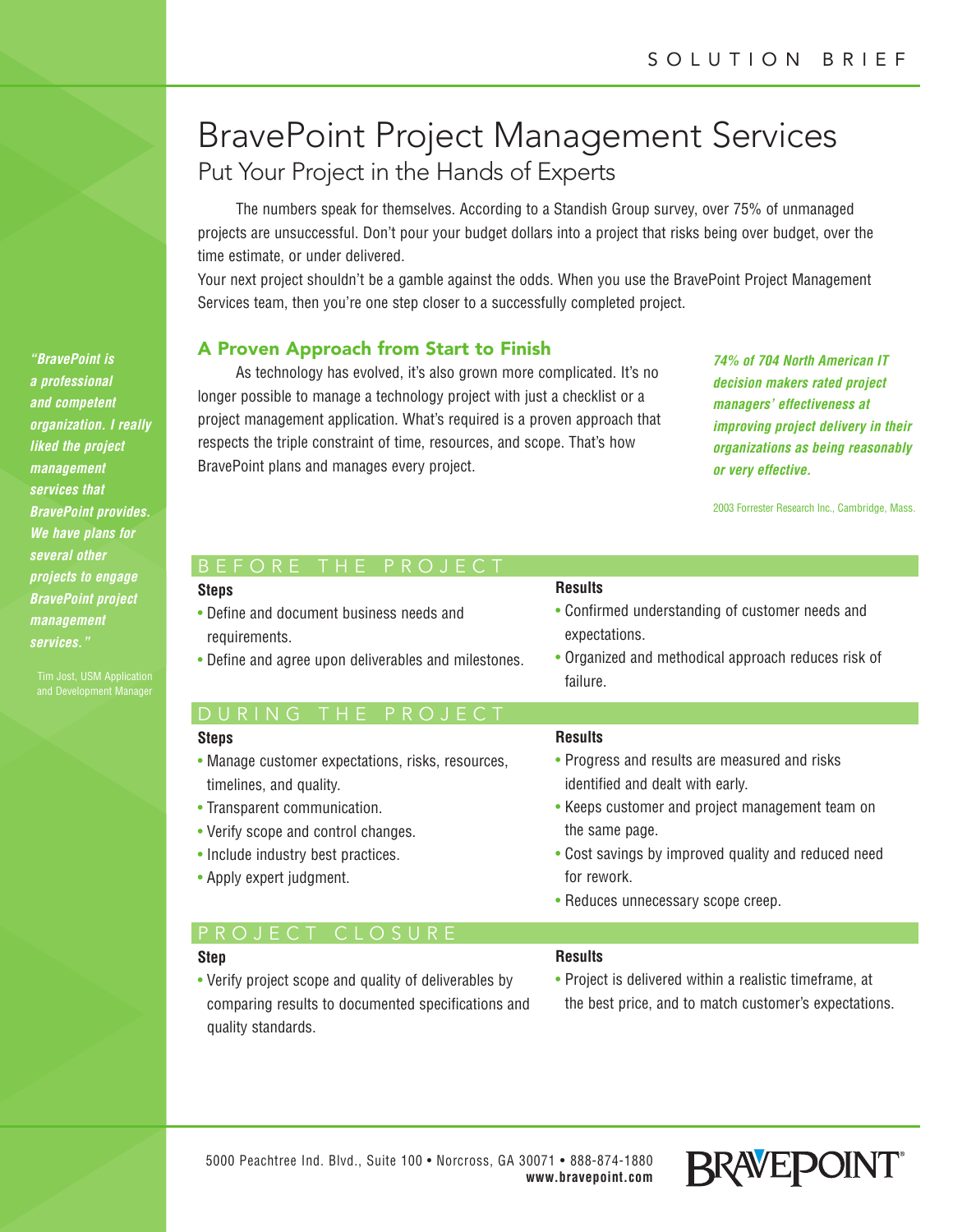# BravePoint Project Management Services Put Your Project in the Hands of Experts

The numbers speak for themselves. According to a Standish Group survey, over 75% of unmanaged projects are unsuccessful. Don't pour your budget dollars into a project that risks being over budget, over the time estimate, or under delivered.

Your next project shouldn't be a gamble against the odds. When you use the BravePoint Project Management Services team, then you're one step closer to a successfully completed project.

## **A Proven Approach from Start to Finish**

As technology has evolved, it's also grown more complicated. It's no longer possible to manage a technology project with just a checklist or a project management application. What's required is a proven approach that respects the triple constraint of time, resources, and scope. That's how BravePoint plans and manages every project.

*74% of 704 North American IT decision makers rated project managers' effectiveness at improving project delivery in their organizations as being reasonably or very effective.*

2003 Forrester Research Inc., Cambridge, Mass.

| BEFORE I HE PROJECI                                                                                                                                                                                                   |                                                                                                                                                                                                                                                                    |
|-----------------------------------------------------------------------------------------------------------------------------------------------------------------------------------------------------------------------|--------------------------------------------------------------------------------------------------------------------------------------------------------------------------------------------------------------------------------------------------------------------|
| <b>Steps</b><br>• Define and document business needs and<br>requirements.<br>• Define and agree upon deliverables and milestones.                                                                                     | <b>Results</b><br>• Confirmed understanding of customer needs and<br>expectations.<br>• Organized and methodical approach reduces risk of<br>failure.                                                                                                              |
| DURING<br>THE PROJECT                                                                                                                                                                                                 |                                                                                                                                                                                                                                                                    |
| <b>Steps</b>                                                                                                                                                                                                          | <b>Results</b>                                                                                                                                                                                                                                                     |
| • Manage customer expectations, risks, resources,<br>timelines, and quality.<br>• Transparent communication.<br>• Verify scope and control changes.<br>• Include industry best practices.<br>• Apply expert judgment. | • Progress and results are measured and risks<br>identified and dealt with early.<br>• Keeps customer and project management team on<br>the same page.<br>• Cost savings by improved quality and reduced need<br>for rework.<br>• Reduces unnecessary scope creep. |
| PROJECT CLOSURE                                                                                                                                                                                                       |                                                                                                                                                                                                                                                                    |
| <b>Step</b><br>• Verify project scope and quality of deliverables by<br>comparing results to documented specifications and                                                                                            | <b>Results</b><br>• Project is delivered within a realistic timeframe, at<br>the best price, and to match customer's expectations.                                                                                                                                 |

comparing results to documented specifications and quality standards.



*a professional and competent organization. I really liked the project management services that BravePoint provides. We have plans for several other projects to engage BravePoint project management services."* 

*"BravePoint is*